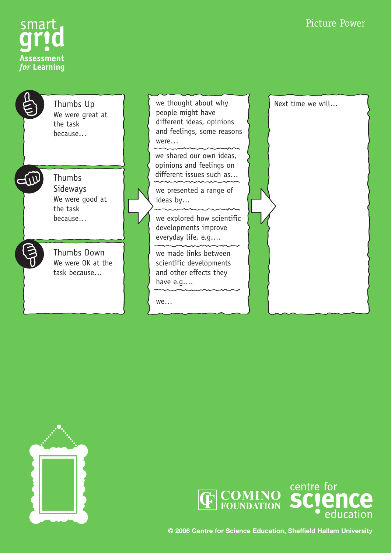

E

Thumbs Up We were great at the task because…

> Thumbs Sideways We were good at the task because…

Thumbs Down We were OK at the task because…

we thought about why people might have different ideas, opinions and feelings, some reasons were…

we shared our own ideas, opinions and feelings on different issues such as…

we presented a range of ideas by…

we explored how scientific developments improve everyday life, e.g.…

we made links between scientific developments and other effects they have e.g.…

we…







**© 2006 Centre for Science Education, Sheffield Hallam University**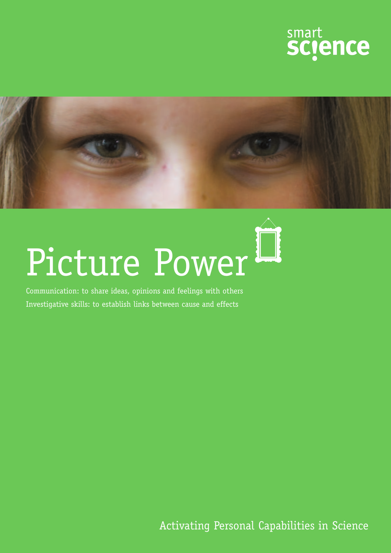



# Picture Power

Communication: to share ideas, opinions and feelings with others Investigative skills: to establish links between cause and effects

Activating Personal Capabilities in Science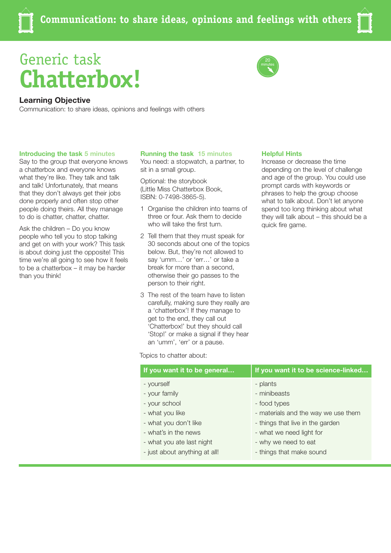## Generic task **Chatterbox!**

#### **Learning Objective**

Communication: to share ideas, opinions and feelings with others

#### **Introducing the task 5 minutes**

Say to the group that everyone knows a chatterbox and everyone knows what they're like. They talk and talk and talk! Unfortunately, that means that they don't always get their jobs done properly and often stop other people doing theirs. All they manage to do is chatter, chatter, chatter.

Ask the children – Do you know people who tell you to stop talking and get on with your work? This task is about doing just the opposite! This time we're all going to see how it feels to be a chatterbox – it may be harder than you think!

#### **Running the task 15 minutes**

You need: a stopwatch, a partner, to sit in a small group.

Optional: the storybook (Little Miss Chatterbox Book, ISBN: 0-7498-3865-5).

- 1 Organise the children into teams of three or four. Ask them to decide who will take the first turn.
- 2 Tell them that they must speak for 30 seconds about one of the topics below. But, they're not allowed to say 'umm…' or 'err…' or take a break for more than a second, otherwise their go passes to the person to their right.
- 3 The rest of the team have to listen carefully, making sure they really are a 'chatterbox'! If they manage to get to the end, they call out 'Chatterbox!' but they should call 'Stop!' or make a signal if they hear an 'umm', 'err' or a pause.

Topics to chatter about:

| If you want it to be general  | If you want it to be science-linked |
|-------------------------------|-------------------------------------|
| - yourself                    | - plants                            |
| - your family                 | - minibeasts                        |
| - your school                 | - food types                        |
| - what you like               | - materials and the way we use them |
| - what you don't like         | - things that live in the garden    |
| - what's in the news          | - what we need light for            |
| - what you ate last night     | - why we need to eat                |
| - just about anything at all! | - things that make sound            |
|                               |                                     |

#### **Helpful Hints**

Increase or decrease the time depending on the level of challenge and age of the group. You could use prompt cards with keywords or phrases to help the group choose what to talk about. Don't let anyone spend too long thinking about what they will talk about – this should be a quick fire game.

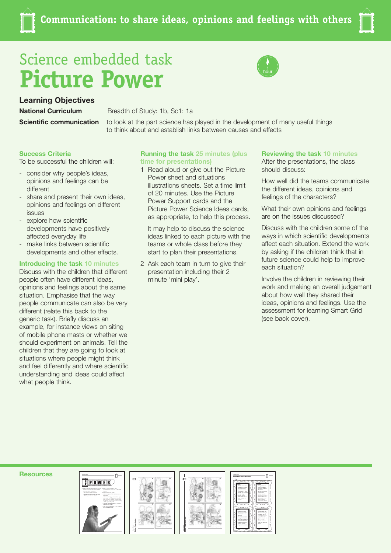## Science embedded task **Picture Power**



**Learning Objectives**

**National Curriculum** Breadth of Study: 1b, Sc1: 1a

**Scientific communication** to look at the part science has played in the development of many useful things to think about and establish links between causes and effects

#### **Success Criteria**

To be successful the children will:

- consider why people's ideas, opinions and feelings can be different
- share and present their own ideas, opinions and feelings on different issues
- explore how scientific developments have positively affected everyday life
- make links between scientific developments and other effects.

#### **Introducing the task 10 minutes**

Discuss with the children that different people often have different ideas, opinions and feelings about the same situation. Emphasise that the way people communicate can also be very different (relate this back to the generic task). Briefly discuss an example, for instance views on siting of mobile phone masts or whether we should experiment on animals. Tell the children that they are going to look at situations where people might think and feel differently and where scientific understanding and ideas could affect what people think.

#### **Running the task 25 minutes (plus time for presentations)**

1 Read aloud or give out the Picture Power sheet and situations illustrations sheets. Set a time limit of 20 minutes. Use the Picture Power Support cards and the Picture Power Science Ideas cards, as appropriate, to help this process.

It may help to discuss the science ideas linked to each picture with the teams or whole class before they start to plan their presentations.

2 Ask each team in turn to give their presentation including their 2 minute 'mini play'.

#### **Reviewing the task 10 minutes**

After the presentations, the class should discuss:

How well did the teams communicate the different ideas, opinions and feelings of the characters?

What their own opinions and feelings are on the issues discussed?

Discuss with the children some of the ways in which scientific developments affect each situation. Extend the work by asking if the children think that in future science could help to improve each situation?

Involve the children in reviewing their work and making an overall judgement about how well they shared their ideas, opinions and feelings. Use the assessment for learning Smart Grid (see back cover).

**Resources**







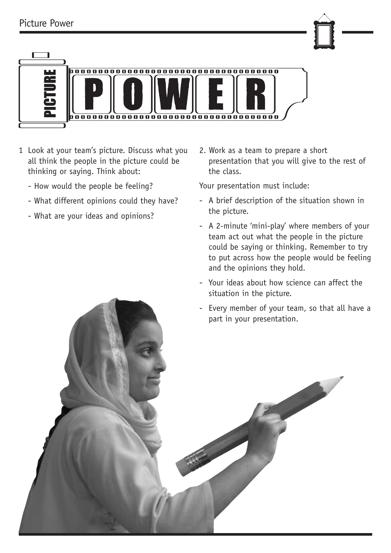

- 1 Look at your team's picture. Discuss what you all think the people in the picture could be thinking or saying. Think about:
	- How would the people be feeling?
	- What different opinions could they have?
	- What are your ideas and opinions?

2. Work as a team to prepare a short presentation that you will give to the rest of the class.

Your presentation must include:

- A brief description of the situation shown in the picture.
- A 2-minute 'mini-play' where members of your team act out what the people in the picture could be saying or thinking. Remember to try to put across how the people would be feeling and the opinions they hold.
- Your ideas about how science can affect the situation in the picture.
- Every member of your team, so that all have a part in your presentation.

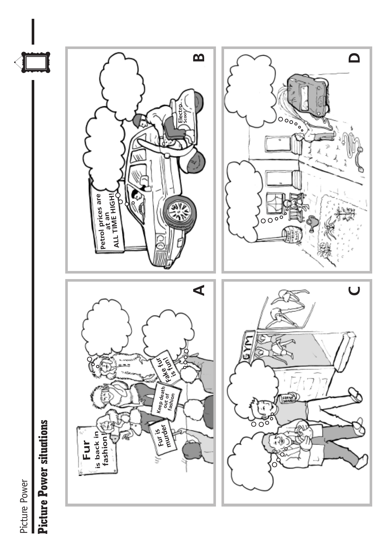

# **Picture Power situations Picture Power situations**

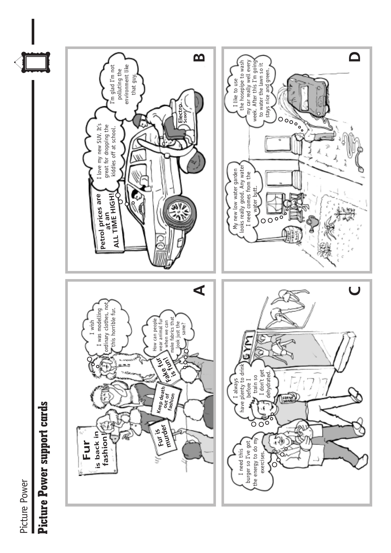